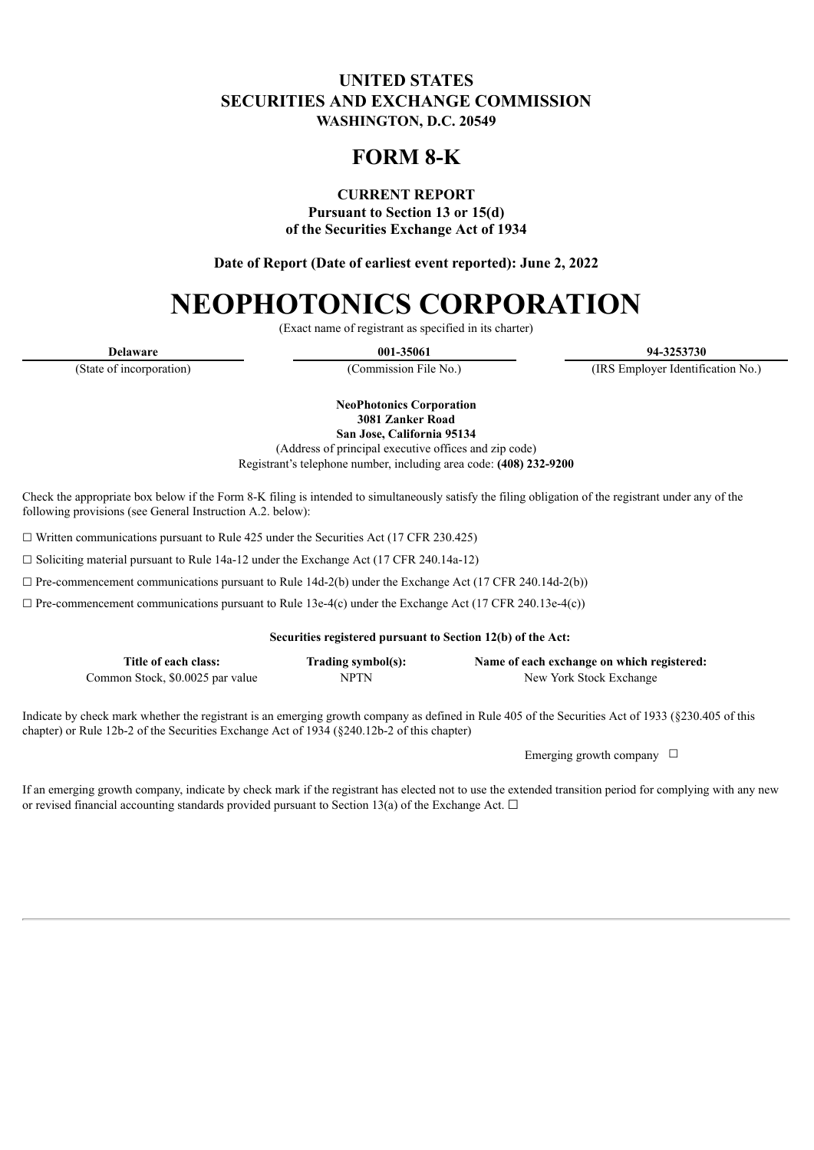## **UNITED STATES SECURITIES AND EXCHANGE COMMISSION WASHINGTON, D.C. 20549**

# **FORM 8-K**

**CURRENT REPORT**

**Pursuant to Section 13 or 15(d) of the Securities Exchange Act of 1934**

**Date of Report (Date of earliest event reported): June 2, 2022**

# **NEOPHOTONICS CORPORATION**

(Exact name of registrant as specified in its charter)

**Delaware 001-35061 94-3253730**

(State of incorporation) (Commission File No.) (IRS Employer Identification No.)

**NeoPhotonics Corporation 3081 Zanker Road**

**San Jose, California 95134**

(Address of principal executive offices and zip code) Registrant's telephone number, including area code: **(408) 232-9200**

Check the appropriate box below if the Form 8-K filing is intended to simultaneously satisfy the filing obligation of the registrant under any of the following provisions (see General Instruction A.2. below):

 $\Box$  Written communications pursuant to Rule 425 under the Securities Act (17 CFR 230.425)

☐ Soliciting material pursuant to Rule 14a-12 under the Exchange Act (17 CFR 240.14a-12)

 $\Box$  Pre-commencement communications pursuant to Rule 14d-2(b) under the Exchange Act (17 CFR 240.14d-2(b))

 $\Box$  Pre-commencement communications pursuant to Rule 13e-4(c) under the Exchange Act (17 CFR 240.13e-4(c))

#### **Securities registered pursuant to Section 12(b) of the Act:**

| Title of each class:             | Trading symbol(s): | Name of each exchange on which registered: |
|----------------------------------|--------------------|--------------------------------------------|
| Common Stock, \$0.0025 par value | NPTN               | New York Stock Exchange                    |

Indicate by check mark whether the registrant is an emerging growth company as defined in Rule 405 of the Securities Act of 1933 (§230.405 of this chapter) or Rule 12b-2 of the Securities Exchange Act of 1934 (§240.12b-2 of this chapter)

Emerging growth company  $\Box$ 

If an emerging growth company, indicate by check mark if the registrant has elected not to use the extended transition period for complying with any new or revised financial accounting standards provided pursuant to Section 13(a) of the Exchange Act.  $\Box$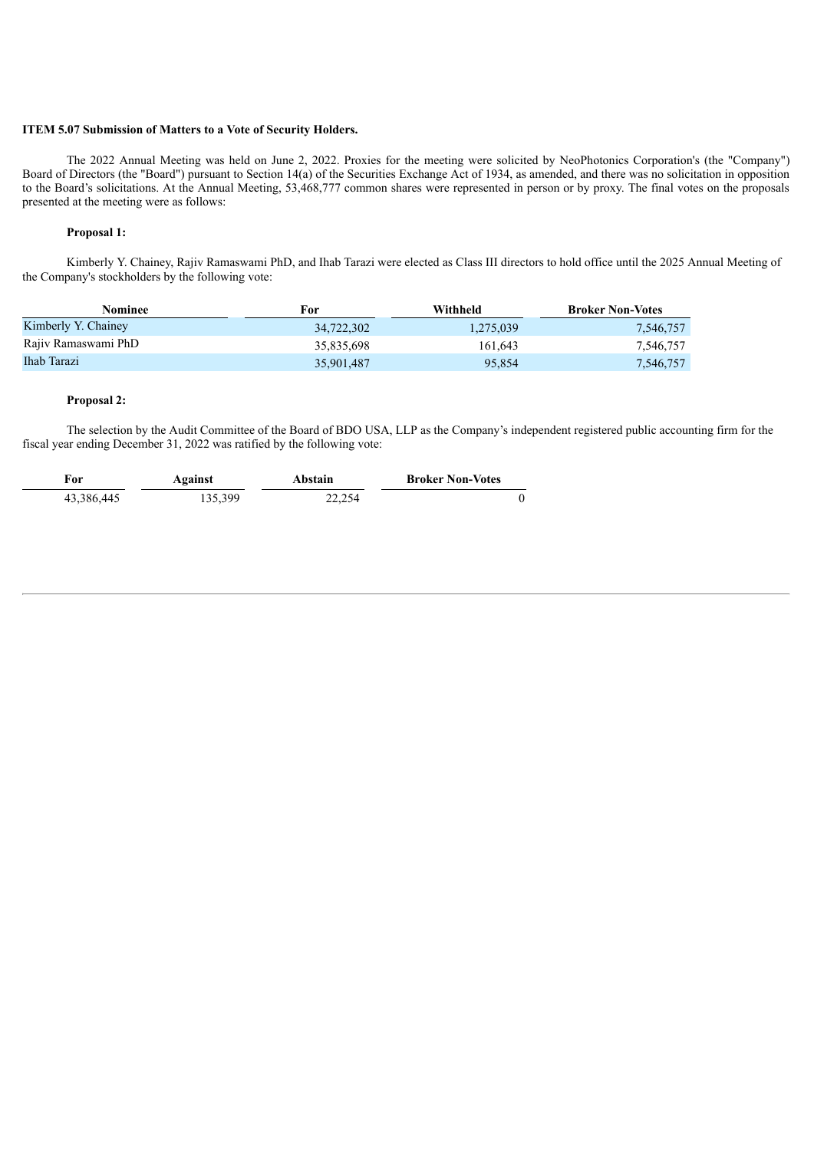#### **ITEM 5.07 Submission of Matters to a Vote of Security Holders.**

The 2022 Annual Meeting was held on June 2, 2022. Proxies for the meeting were solicited by NeoPhotonics Corporation's (the "Company") Board of Directors (the "Board") pursuant to Section 14(a) of the Securities Exchange Act of 1934, as amended, and there was no solicitation in opposition to the Board's solicitations. At the Annual Meeting, 53,468,777 common shares were represented in person or by proxy. The final votes on the proposals presented at the meeting were as follows:

#### **Proposal 1:**

Kimberly Y. Chainey, Rajiv Ramaswami PhD, and Ihab Tarazi were elected as Class III directors to hold office until the 2025 Annual Meeting of the Company's stockholders by the following vote:

| Nominee             | For        | Withheld  | <b>Broker Non-Votes</b> |
|---------------------|------------|-----------|-------------------------|
| Kimberly Y. Chainey | 34,722,302 | 1,275,039 | 7,546,757               |
| Rajiy Ramaswami PhD | 35,835,698 | 161.643   | 7.546.757               |
| Ihab Tarazi         | 35,901,487 | 95.854    | 7,546,757               |

#### **Proposal 2:**

The selection by the Audit Committee of the Board of BDO USA, LLP as the Company's independent registered public accounting firm for the fiscal year ending December 31, 2022 was ratified by the following vote:

| For        | Against | Abstain | <b>Broker Non-Votes</b> |
|------------|---------|---------|-------------------------|
| 43,386,445 | 135.399 | 22,254  |                         |